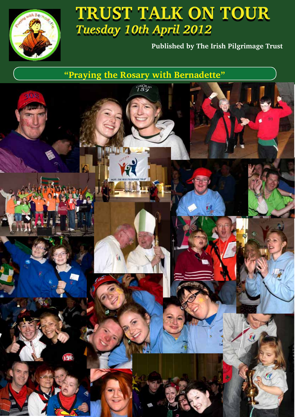

# **TRUST TALK ON TOUR TRUST TALK ON TOUR**  *Tuesday 10th April 2012*

**Published by The Irish Pilgrimage Trust**

**"Praying the Rosary with Bernadette"**